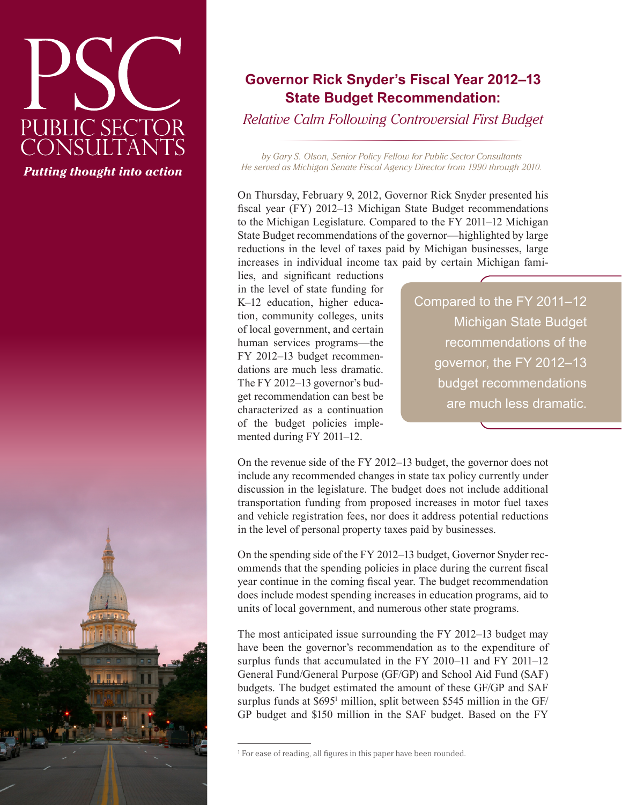# PUBLIC SECTOR<br>CONSULTANTS *Putting thought into action*

# **Governor Rick Snyder's Fiscal Year 2012–13 State Budget Recommendation:**

*Relative Calm Following Controversial First Budget*

*by Gary S. Olson, Senior Policy Fellow for Public Sector Consultants He served as Michigan Senate Fiscal Agency Director from 1990 through 2010.*

On Thursday, February 9, 2012, Governor Rick Snyder presented his fiscal year (FY) 2012–13 Michigan State Budget recommendations to the Michigan Legislature. Compared to the FY 2011–12 Michigan State Budget recommendations of the governor—highlighted by large reductions in the level of taxes paid by Michigan businesses, large increases in individual income tax paid by certain Michigan fami-

lies, and significant reductions in the level of state funding for K–12 education, higher education, community colleges, units of local government, and certain human services programs—the FY 2012–13 budget recommendations are much less dramatic. The FY 2012–13 governor's budget recommendation can best be characterized as a continuation of the budget policies implemented during FY 2011–12.

Compared to the FY 2011–12 Michigan State Budget recommendations of the governor, the FY 2012–13 budget recommendations are much less dramatic.

On the revenue side of the FY 2012–13 budget, the governor does not include any recommended changes in state tax policy currently under discussion in the legislature. The budget does not include additional transportation funding from proposed increases in motor fuel taxes and vehicle registration fees, nor does it address potential reductions in the level of personal property taxes paid by businesses.

On the spending side of the FY 2012–13 budget, Governor Snyder recommends that the spending policies in place during the current fiscal year continue in the coming fiscal year. The budget recommendation does include modest spending increases in education programs, aid to units of local government, and numerous other state programs.

The most anticipated issue surrounding the FY 2012–13 budget may have been the governor's recommendation as to the expenditure of surplus funds that accumulated in the FY 2010–11 and FY 2011–12 General Fund/General Purpose (GF/GP) and School Aid Fund (SAF) budgets. The budget estimated the amount of these GF/GP and SAF surplus funds at \$695<sup>1</sup> million, split between \$545 million in the GF/ GP budget and \$150 million in the SAF budget. Based on the FY

<sup>&</sup>lt;sup>1</sup> For ease of reading, all figures in this paper have been rounded.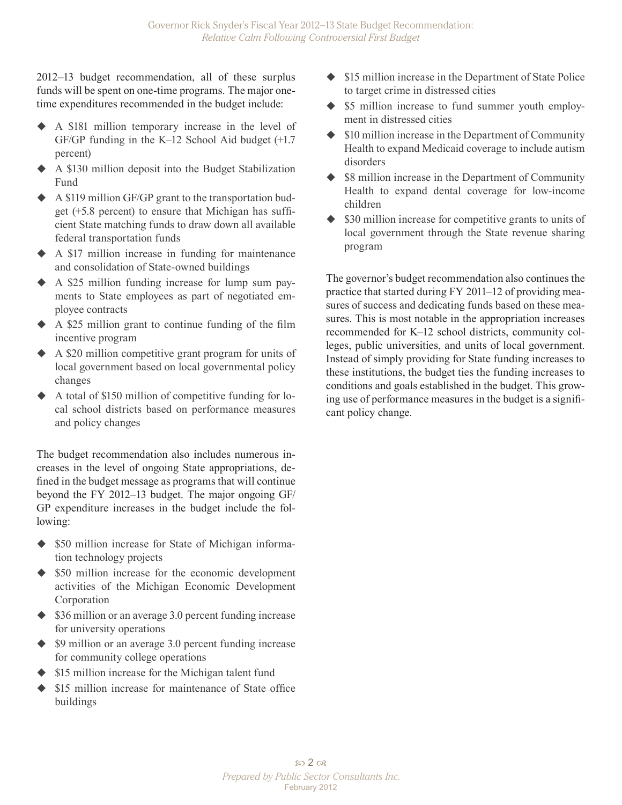2012–13 budget recommendation, all of these surplus funds will be spent on one-time programs. The major onetime expenditures recommended in the budget include:

- A \$181 million temporary increase in the level of GF/GP funding in the K–12 School Aid budget (+1.7 percent)
- A \$130 million deposit into the Budget Stabilization Fund
- A \$119 million GF/GP grant to the transportation budget (+5.8 percent) to ensure that Michigan has sufficient State matching funds to draw down all available federal transportation funds
- A \$17 million increase in funding for maintenance and consolidation of State-owned buildings
- A \$25 million funding increase for lump sum payments to State employees as part of negotiated employee contracts
- A \$25 million grant to continue funding of the film incentive program
- A \$20 million competitive grant program for units of local government based on local governmental policy changes
- A total of \$150 million of competitive funding for local school districts based on performance measures and policy changes

The budget recommendation also includes numerous increases in the level of ongoing State appropriations, defined in the budget message as programs that will continue beyond the FY 2012–13 budget. The major ongoing GF/ GP expenditure increases in the budget include the following:

- $\triangle$  \$50 million increase for State of Michigan information technology projects
- $\triangle$  \$50 million increase for the economic development activities of the Michigan Economic Development Corporation
- $\triangle$  \$36 million or an average 3.0 percent funding increase for university operations
- $\blacklozenge$  \$9 million or an average 3.0 percent funding increase for community college operations
- ◆ \$15 million increase for the Michigan talent fund
- \$15 million increase for maintenance of State office buildings
- $\triangle$  \$15 million increase in the Department of State Police to target crime in distressed cities
- $\blacklozenge$  \$5 million increase to fund summer youth employment in distressed cities
- $\triangleq$  \$10 million increase in the Department of Community Health to expand Medicaid coverage to include autism disorders
- $\blacklozenge$  \$8 million increase in the Department of Community Health to expand dental coverage for low-income children
- $\triangle$  \$30 million increase for competitive grants to units of local government through the State revenue sharing program

The governor's budget recommendation also continues the practice that started during FY 2011–12 of providing measures of success and dedicating funds based on these measures. This is most notable in the appropriation increases recommended for K–12 school districts, community colleges, public universities, and units of local government. Instead of simply providing for State funding increases to these institutions, the budget ties the funding increases to conditions and goals established in the budget. This growing use of performance measures in the budget is a significant policy change.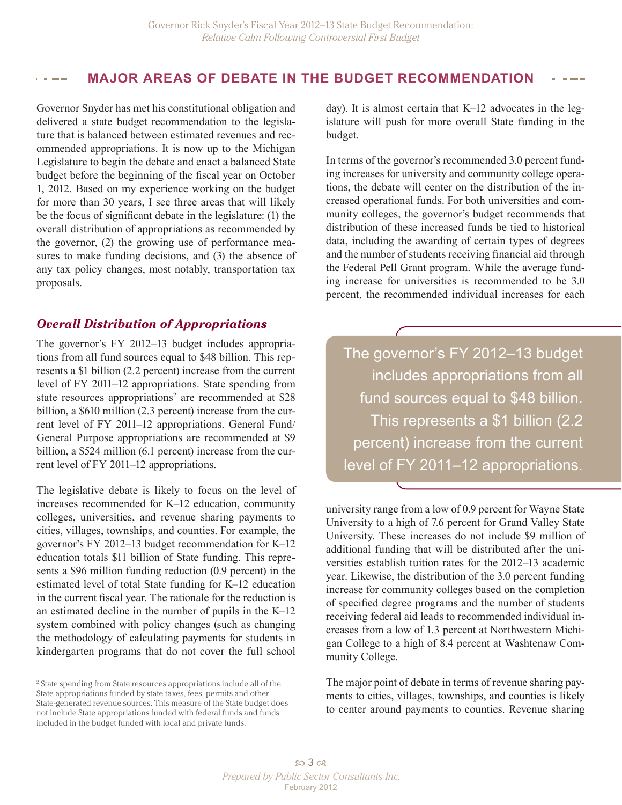#### **MAJOR AREAS OF DEBATE IN THE BUDGET RECOMMENDATION**

Governor Snyder has met his constitutional obligation and delivered a state budget recommendation to the legislature that is balanced between estimated revenues and recommended appropriations. It is now up to the Michigan Legislature to begin the debate and enact a balanced State budget before the beginning of the fiscal year on October 1, 2012. Based on my experience working on the budget for more than 30 years, I see three areas that will likely be the focus of significant debate in the legislature: (1) the overall distribution of appropriations as recommended by the governor, (2) the growing use of performance measures to make funding decisions, and (3) the absence of any tax policy changes, most notably, transportation tax proposals.

#### *Overall Distribution of Appropriations*

The governor's FY 2012–13 budget includes appropriations from all fund sources equal to \$48 billion. This represents a \$1 billion (2.2 percent) increase from the current level of FY 2011–12 appropriations. State spending from state resources appropriations<sup>2</sup> are recommended at \$28 billion, a \$610 million (2.3 percent) increase from the current level of FY 2011–12 appropriations. General Fund/ General Purpose appropriations are recommended at \$9 billion, a \$524 million (6.1 percent) increase from the current level of FY 2011–12 appropriations.

The legislative debate is likely to focus on the level of increases recommended for K–12 education, community colleges, universities, and revenue sharing payments to cities, villages, townships, and counties. For example, the governor's FY 2012–13 budget recommendation for K–12 education totals \$11 billion of State funding. This represents a \$96 million funding reduction (0.9 percent) in the estimated level of total State funding for K–12 education in the current fiscal year. The rationale for the reduction is an estimated decline in the number of pupils in the K–12 system combined with policy changes (such as changing the methodology of calculating payments for students in kindergarten programs that do not cover the full school

2 State spending from State resources appropriations include all of the State appropriations funded by state taxes, fees, permits and other State-generated revenue sources. This measure of the State budget does not include State appropriations funded with federal funds and funds included in the budget funded with local and private funds.

day). It is almost certain that K–12 advocates in the legislature will push for more overall State funding in the budget.

In terms of the governor's recommended 3.0 percent funding increases for university and community college operations, the debate will center on the distribution of the increased operational funds. For both universities and community colleges, the governor's budget recommends that distribution of these increased funds be tied to historical data, including the awarding of certain types of degrees and the number of students receiving financial aid through the Federal Pell Grant program. While the average funding increase for universities is recommended to be 3.0 percent, the recommended individual increases for each

The governor's FY 2012–13 budget includes appropriations from all fund sources equal to \$48 billion. This represents a \$1 billion (2.2 percent) increase from the current level of FY 2011–12 appropriations.

university range from a low of 0.9 percent for Wayne State University to a high of 7.6 percent for Grand Valley State University. These increases do not include \$9 million of additional funding that will be distributed after the universities establish tuition rates for the 2012–13 academic year. Likewise, the distribution of the 3.0 percent funding increase for community colleges based on the completion of specified degree programs and the number of students receiving federal aid leads to recommended individual increases from a low of 1.3 percent at Northwestern Michigan College to a high of 8.4 percent at Washtenaw Community College.

The major point of debate in terms of revenue sharing payments to cities, villages, townships, and counties is likely to center around payments to counties. Revenue sharing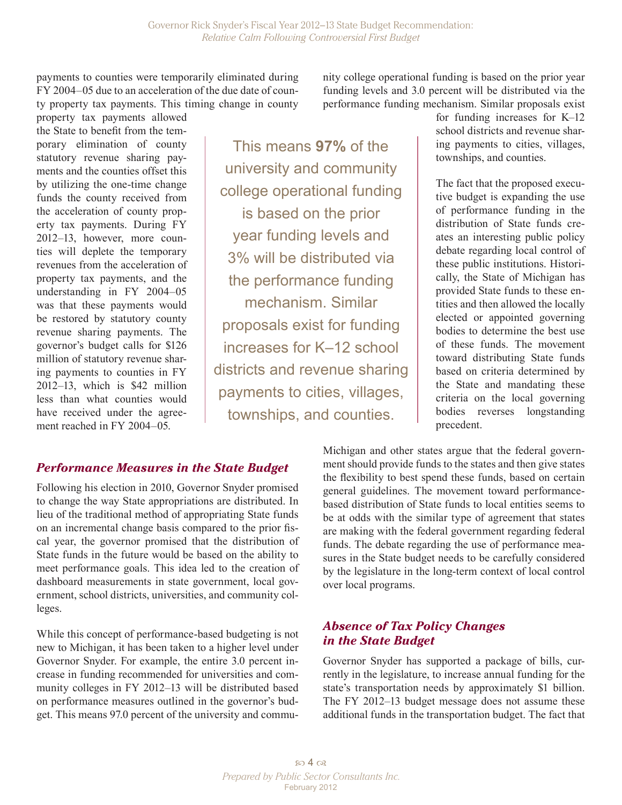payments to counties were temporarily eliminated during FY 2004–05 due to an acceleration of the due date of county property tax payments. This timing change in county

property tax payments allowed the State to benefit from the temporary elimination of county statutory revenue sharing payments and the counties offset this by utilizing the one-time change funds the county received from the acceleration of county property tax payments. During FY 2012–13, however, more counties will deplete the temporary revenues from the acceleration of property tax payments, and the understanding in FY 2004–05 was that these payments would be restored by statutory county revenue sharing payments. The governor's budget calls for \$126 million of statutory revenue sharing payments to counties in FY 2012–13, which is \$42 million less than what counties would have received under the agreement reached in FY 2004–05.

This means **97%** of the university and community college operational funding is based on the prior year funding levels and 3% will be distributed via the performance funding mechanism. Similar proposals exist for funding increases for K–12 school districts and revenue sharing payments to cities, villages, townships, and counties.

nity college operational funding is based on the prior year funding levels and 3.0 percent will be distributed via the performance funding mechanism. Similar proposals exist

> for funding increases for K–12 school districts and revenue sharing payments to cities, villages, townships, and counties.

The fact that the proposed executive budget is expanding the use of performance funding in the distribution of State funds creates an interesting public policy debate regarding local control of these public institutions. Historically, the State of Michigan has provided State funds to these entities and then allowed the locally elected or appointed governing bodies to determine the best use of these funds. The movement toward distributing State funds based on criteria determined by the State and mandating these criteria on the local governing bodies reverses longstanding precedent.

## *Performance Measures in the State Budget*

Following his election in 2010, Governor Snyder promised to change the way State appropriations are distributed. In lieu of the traditional method of appropriating State funds on an incremental change basis compared to the prior fiscal year, the governor promised that the distribution of State funds in the future would be based on the ability to meet performance goals. This idea led to the creation of dashboard measurements in state government, local government, school districts, universities, and community colleges.

While this concept of performance-based budgeting is not new to Michigan, it has been taken to a higher level under Governor Snyder. For example, the entire 3.0 percent increase in funding recommended for universities and community colleges in FY 2012–13 will be distributed based on performance measures outlined in the governor's budget. This means 97.0 percent of the university and commuMichigan and other states argue that the federal government should provide funds to the states and then give states the flexibility to best spend these funds, based on certain general guidelines. The movement toward performancebased distribution of State funds to local entities seems to be at odds with the similar type of agreement that states are making with the federal government regarding federal funds. The debate regarding the use of performance measures in the State budget needs to be carefully considered by the legislature in the long-term context of local control over local programs.

### *Absence of Tax Policy Changes in the State Budget*

Governor Snyder has supported a package of bills, currently in the legislature, to increase annual funding for the state's transportation needs by approximately \$1 billion. The FY 2012–13 budget message does not assume these additional funds in the transportation budget. The fact that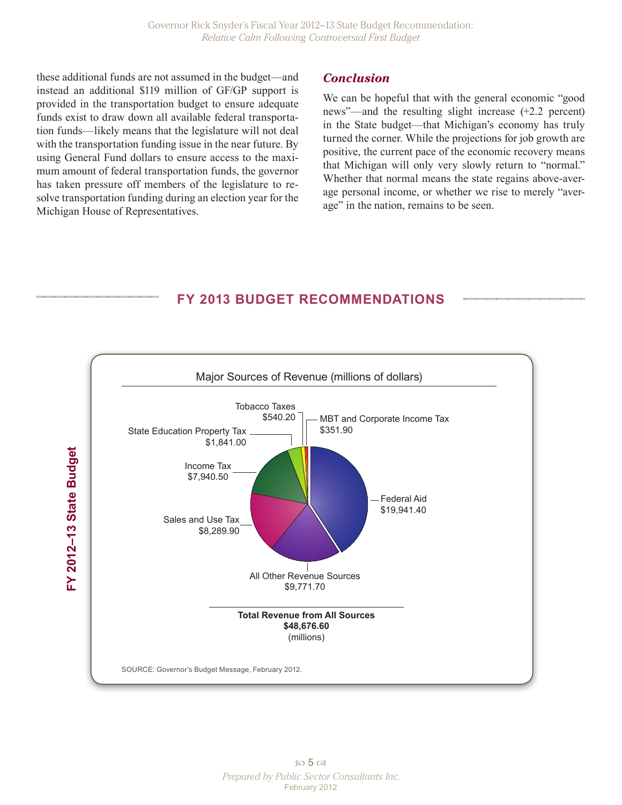these additional funds are not assumed in the budget—and instead an additional \$119 million of GF/GP support is provided in the transportation budget to ensure adequate funds exist to draw down all available federal transportation funds—likely means that the legislature will not deal with the transportation funding issue in the near future. By using General Fund dollars to ensure access to the maximum amount of federal transportation funds, the governor has taken pressure off members of the legislature to resolve transportation funding during an election year for the Michigan House of Representatives.

#### *Conclusion*

We can be hopeful that with the general economic "good news"—and the resulting slight increase (+2.2 percent) in the State budget—that Michigan's economy has truly turned the corner. While the projections for job growth are positive, the current pace of the economic recovery means that Michigan will only very slowly return to "normal." Whether that normal means the state regains above-average personal income, or whether we rise to merely "average" in the nation, remains to be seen.

### **FY 2013 BUDGET RECOMMENDATIONS**